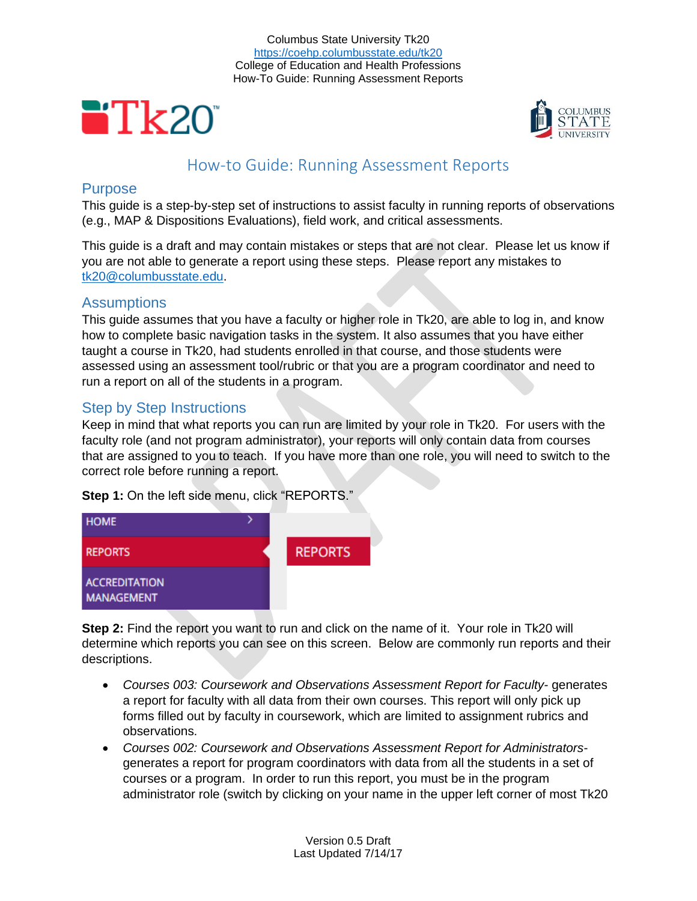Columbus State University Tk20 <https://coehp.columbusstate.edu/tk20> College of Education and Health Professions How-To Guide: Running Assessment Reports





# How-to Guide: Running Assessment Reports

### **Purpose**

This guide is a step-by-step set of instructions to assist faculty in running reports of observations (e.g., MAP & Dispositions Evaluations), field work, and critical assessments.

This guide is a draft and may contain mistakes or steps that are not clear. Please let us know if you are not able to generate a report using these steps. Please report any mistakes to [tk20@columbusstate.edu.](mailto:tk20@columbusstate.edu)

### Assumptions

This guide assumes that you have a faculty or higher role in Tk20, are able to log in, and know how to complete basic navigation tasks in the system. It also assumes that you have either taught a course in Tk20, had students enrolled in that course, and those students were assessed using an assessment tool/rubric or that you are a program coordinator and need to run a report on all of the students in a program.

# Step by Step Instructions

Keep in mind that what reports you can run are limited by your role in Tk20. For users with the faculty role (and not program administrator), your reports will only contain data from courses that are assigned to you to teach. If you have more than one role, you will need to switch to the correct role before running a report.

**Step 1:** On the left side menu, click "REPORTS."



**Step 2:** Find the report you want to run and click on the name of it. Your role in Tk20 will determine which reports you can see on this screen. Below are commonly run reports and their descriptions.

- *Courses 003: Coursework and Observations Assessment Report for Faculty-* generates a report for faculty with all data from their own courses. This report will only pick up forms filled out by faculty in coursework, which are limited to assignment rubrics and observations.
- *Courses 002: Coursework and Observations Assessment Report for Administrators*generates a report for program coordinators with data from all the students in a set of courses or a program. In order to run this report, you must be in the program administrator role (switch by clicking on your name in the upper left corner of most Tk20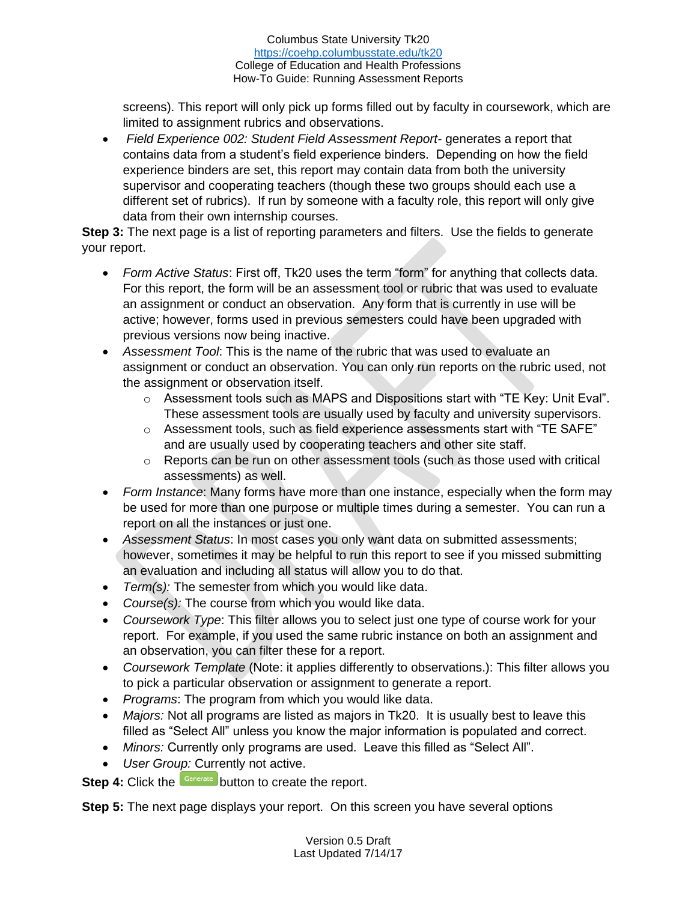#### Columbus State University Tk20 <https://coehp.columbusstate.edu/tk20> College of Education and Health Professions How-To Guide: Running Assessment Reports

screens). This report will only pick up forms filled out by faculty in coursework, which are limited to assignment rubrics and observations.

• *Field Experience 002: Student Field Assessment Report-* generates a report that contains data from a student's field experience binders. Depending on how the field experience binders are set, this report may contain data from both the university supervisor and cooperating teachers (though these two groups should each use a different set of rubrics). If run by someone with a faculty role, this report will only give data from their own internship courses.

**Step 3:** The next page is a list of reporting parameters and filters. Use the fields to generate your report.

- *Form Active Status*: First off, Tk20 uses the term "form" for anything that collects data. For this report, the form will be an assessment tool or rubric that was used to evaluate an assignment or conduct an observation. Any form that is currently in use will be active; however, forms used in previous semesters could have been upgraded with previous versions now being inactive.
- *Assessment Tool*: This is the name of the rubric that was used to evaluate an assignment or conduct an observation. You can only run reports on the rubric used, not the assignment or observation itself.
	- $\circ$  Assessment tools such as MAPS and Dispositions start with "TE Key: Unit Eval". These assessment tools are usually used by faculty and university supervisors.
	- $\circ$  Assessment tools, such as field experience assessments start with "TE SAFE" and are usually used by cooperating teachers and other site staff.
	- $\circ$  Reports can be run on other assessment tools (such as those used with critical assessments) as well.
- *Form Instance*: Many forms have more than one instance, especially when the form may be used for more than one purpose or multiple times during a semester. You can run a report on all the instances or just one.
- *Assessment Status*: In most cases you only want data on submitted assessments; however, sometimes it may be helpful to run this report to see if you missed submitting an evaluation and including all status will allow you to do that.
- *Term(s):* The semester from which you would like data.
- *Course(s):* The course from which you would like data.
- *Coursework Type*: This filter allows you to select just one type of course work for your report. For example, if you used the same rubric instance on both an assignment and an observation, you can filter these for a report.
- *Coursework Template* (Note: it applies differently to observations.): This filter allows you to pick a particular observation or assignment to generate a report.
- *Programs*: The program from which you would like data.
- *Majors:* Not all programs are listed as majors in Tk20. It is usually best to leave this filled as "Select All" unless you know the major information is populated and correct.
- *Minors:* Currently only programs are used. Leave this filled as "Select All".
- *User Group:* Currently not active.

**Step 4:** Click the **Generate** button to create the report.

**Step 5:** The next page displays your report. On this screen you have several options